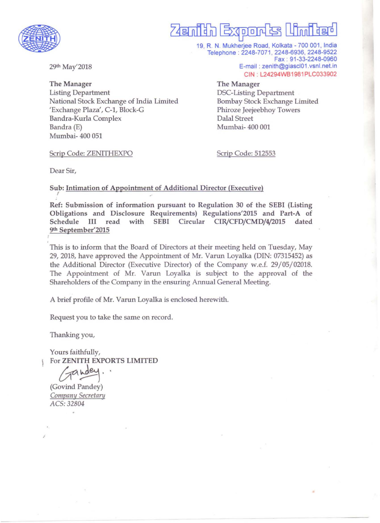

## <u>Zaanidh Exoond tsi Limidago</u>

19, R. N. Mukherjee Road, Kolkata - 700 001, India Telephone : 2248-7071 , 2248-6936, 2248-9522 Fax : 91-33-2248-0960 E-mail: zenith@giascl01.vsnl.net.in CIN . L24294WB1981PLC033902

The Manager Listing Department National Stock Exchange of India Limited 'Exchange Plaza', C-1, Block-G Bandra-Kurla Complex Bandra (E) Mumbai- 400 051

Scrip Code: ZENITHEXPO

DSC-Listing Department Bombay Stock Exchange Limited Phiroze Jeejeebhoy Towers Dalal Street Mumbai- 400 001

•

Scrip Code: 512553

The Manager

Dear Sir,

29th May'2018

Sub: Intimation of Appointment of Additional Director (Executive)

Ref: Submission of information pursuant to Regulation 30 of the SEBI (Listing Obligations and Disclosure Requirements) Regulations'2015 and Part-A of Schedule III read with SEBI Circular CIR/CFD/CMD/4/2015 dated 9th September'2015

This is to inform that the Board of Directors at their meeting held on Tuesday, May 29, 2018, have approved the Appointment of Mr. Varun Loyalka (DIN: 07315452) as the Additional Director (Executive Director) of the Company w.e.f. 29/05/02018. The Appointment of Mr. Varun Loyalka is subject to the approval of the Shareholders of the Company in the ensuring Annual General Meeting.

A brief profile of Mr. Varun Loyalka is enclosed herewith.

Request you to take the same on record.

Thanking you,

Yours faithfully, For ZENITH EXPORTS LIMITED

Gandey. (Govind Pandey) **Company Secretary** *ACS: 32804* 

.'